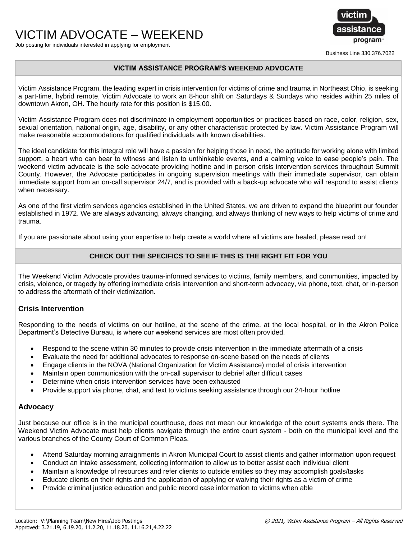# VICTIM ADVOCATE – WEEKEND

Job posting for individuals interested in applying for employment



Business Line 330.376.7022

#### **VICTIM ASSISTANCE PROGRAM'S WEEKEND ADVOCATE**

Victim Assistance Program, the leading expert in crisis intervention for victims of crime and trauma in Northeast Ohio, is seeking a part-time, hybrid remote, Victim Advocate to work an 8-hour shift on Saturdays & Sundays who resides within 25 miles of downtown Akron, OH. The hourly rate for this position is \$15.00.

Victim Assistance Program does not discriminate in employment opportunities or practices based on race, color, religion, sex, sexual orientation, national origin, age, disability, or any other characteristic protected by law. Victim Assistance Program will make reasonable accommodations for qualified individuals with known disabilities.

The ideal candidate for this integral role will have a passion for helping those in need, the aptitude for working alone with limited support, a heart who can bear to witness and listen to unthinkable events, and a calming voice to ease people's pain. The weekend victim advocate is the sole advocate providing hotline and in person crisis intervention services throughout Summit County. However, the Advocate participates in ongoing supervision meetings with their immediate supervisor, can obtain immediate support from an on-call supervisor 24/7, and is provided with a back-up advocate who will respond to assist clients when necessary.

As one of the first victim services agencies established in the United States, we are driven to expand the blueprint our founder established in 1972. We are always advancing, always changing, and always thinking of new ways to help victims of crime and trauma.

If you are passionate about using your expertise to help create a world where all victims are healed, please read on!

### **CHECK OUT THE SPECIFICS TO SEE IF THIS IS THE RIGHT FIT FOR YOU**

The Weekend Victim Advocate provides trauma-informed services to victims, family members, and communities, impacted by crisis, violence, or tragedy by offering immediate crisis intervention and short-term advocacy, via phone, text, chat, or in-person to address the aftermath of their victimization.

#### **Crisis Intervention**

Responding to the needs of victims on our hotline, at the scene of the crime, at the local hospital, or in the Akron Police Department's Detective Bureau, is where our weekend services are most often provided.

- Respond to the scene within 30 minutes to provide crisis intervention in the immediate aftermath of a crisis
- Evaluate the need for additional advocates to response on-scene based on the needs of clients
- Engage clients in the NOVA (National Organization for Victim Assistance) model of crisis intervention
- Maintain open communication with the on-call supervisor to debrief after difficult cases
- Determine when crisis intervention services have been exhausted
- Provide support via phone, chat, and text to victims seeking assistance through our 24-hour hotline

#### **Advocacy**

Just because our office is in the municipal courthouse, does not mean our knowledge of the court systems ends there. The Weekend Victim Advocate must help clients navigate through the entire court system - both on the municipal level and the various branches of the County Court of Common Pleas.

- Attend Saturday morning arraignments in Akron Municipal Court to assist clients and gather information upon request
- Conduct an intake assessment, collecting information to allow us to better assist each individual client
- Maintain a knowledge of resources and refer clients to outside entities so they may accomplish goals/tasks
- Educate clients on their rights and the application of applying or waiving their rights as a victim of crime
- Provide criminal justice education and public record case information to victims when able